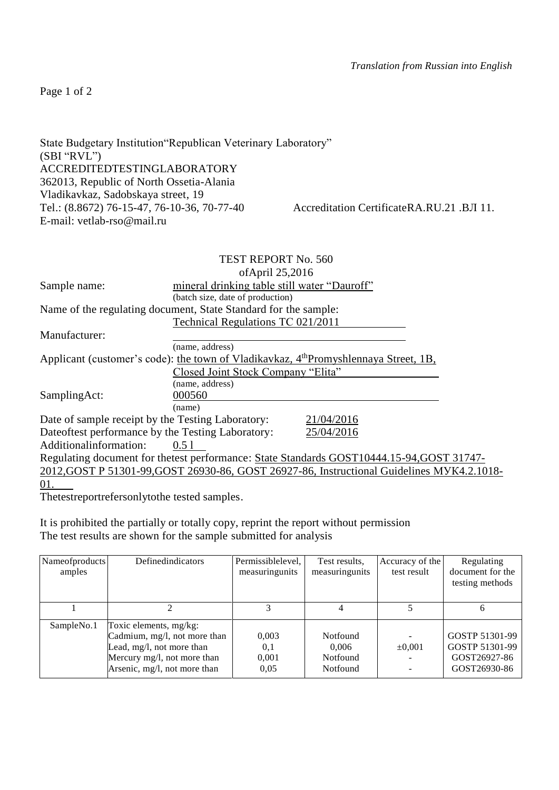Page 1 of 2

| State Budgetary Institution Republican Veterinary Laboratory" |                                           |
|---------------------------------------------------------------|-------------------------------------------|
| (SBI "RVL")                                                   |                                           |
| <b>ACCREDITEDTESTINGLABORATORY</b>                            |                                           |
| 362013, Republic of North Ossetia-Alania                      |                                           |
| Vladikavkaz, Sadobskaya street, 19                            |                                           |
| Tel.: (8.8672) 76-15-47, 76-10-36, 70-77-40                   | Accreditation CertificateRA.RU.21 .BJ 11. |
| E-mail: vetlab-rso@mail.ru                                    |                                           |
|                                                               |                                           |

|                                                    | TEST REPORT No. 560                                                                              |  |  |  |  |
|----------------------------------------------------|--------------------------------------------------------------------------------------------------|--|--|--|--|
|                                                    | ofApril 25,2016                                                                                  |  |  |  |  |
| Sample name:                                       | mineral drinking table still water "Dauroff"                                                     |  |  |  |  |
|                                                    | (batch size, date of production)                                                                 |  |  |  |  |
|                                                    | Name of the regulating document, State Standard for the sample:                                  |  |  |  |  |
|                                                    | Technical Regulations TC 021/2011                                                                |  |  |  |  |
| Manufacturer:                                      |                                                                                                  |  |  |  |  |
|                                                    | (name, address)                                                                                  |  |  |  |  |
|                                                    | Applicant (customer's code): the town of Vladikavkaz, 4 <sup>th</sup> Promyshlennaya Street, 1B, |  |  |  |  |
|                                                    | Closed Joint Stock Company "Elita"                                                               |  |  |  |  |
|                                                    | (name, address)                                                                                  |  |  |  |  |
| SamplingAct:                                       | 000560                                                                                           |  |  |  |  |
|                                                    | (name)                                                                                           |  |  |  |  |
| Date of sample receipt by the Testing Laboratory:  | 21/04/2016                                                                                       |  |  |  |  |
| Date oftest performance by the Testing Laboratory: | 25/04/2016                                                                                       |  |  |  |  |
| Additional information:                            | 0.51                                                                                             |  |  |  |  |
|                                                    | Regulating document for the test performance: State Standards GOST10444.15-94, GOST 31747-       |  |  |  |  |
|                                                    | 2012, GOST P 51301-99, GOST 26930-86, GOST 26927-86, Instructional Guidelines MYK4.2.1018-       |  |  |  |  |
| 01.                                                |                                                                                                  |  |  |  |  |

Thetestreportrefersonlytothe tested samples.

It is prohibited the partially or totally copy, reprint the report without permission The test results are shown for the sample submitted for analysis

| Nameofproducts<br>amples | Definedindicators                                                                                                                                  | Permissiblelevel,<br>measuringunits | Test results,<br>measuringunits           | Accuracy of the<br>test result | Regulating<br>document for the<br>testing methods                |
|--------------------------|----------------------------------------------------------------------------------------------------------------------------------------------------|-------------------------------------|-------------------------------------------|--------------------------------|------------------------------------------------------------------|
|                          |                                                                                                                                                    |                                     |                                           |                                |                                                                  |
| SampleNo.1               | Toxic elements, mg/kg:<br>Cadmium, mg/l, not more than<br>Lead, mg/l, not more than<br>Mercury mg/l, not more than<br>Arsenic, mg/l, not more than | 0,003<br>0,1<br>0,001<br>0.05       | Notfound<br>0.006<br>Notfound<br>Notfound | $\pm 0.001$                    | GOSTP 51301-99<br>GOSTP 51301-99<br>GOST26927-86<br>GOST26930-86 |